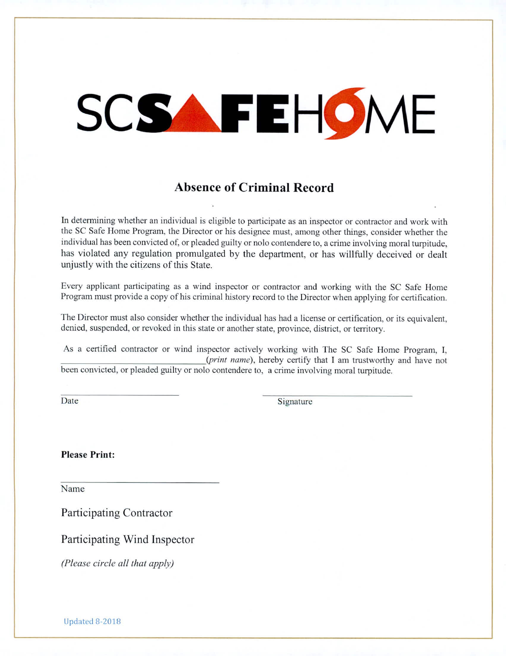## SCSAFEHOME

## **Absence of Criminal Record**

In determining whether an individual is eligible to participate as an inspector or contractor and work with the SC Safe Home Program, the Director or his designee must, among other things, consider whether the individual has been convicted of, or pleaded guilty or nolo contendere to, a crime involving moral turpitude, has violated any regulation promulgated by the department, or has willfully deceived or dealt unjustly with the citizens of this State.

Every applicant participating as a wind inspector or contractor and working with the SC Safe Home Program must provide a copy of his criminal history record to the Director when applying for certification.

The Director must also consider whether the individual has had a license or certification, or its equivalent, denied, suspended, or revoked in this state or another state, province, district, or territory.

As a certified contractor or wind inspector actively working with The SC Safe Home Program, I, *(print name),* hereby certify that I am trustworthy and have not been convicted, or pleaded guilty or nob o contendere to, a crime involving moral turpitude.

Date Signature

**Please Print:** 

Name

Participating Contractor

Participating Wind Inspector

*(Please circle all that apply)*